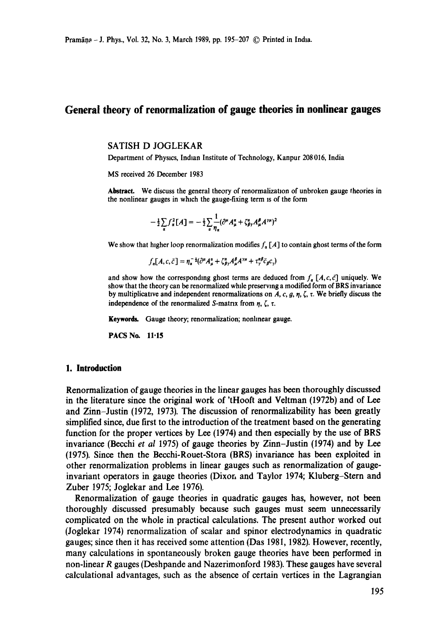# **General theory of renormalization of gauge theories in nonlinear gauges**

#### SATISH D JOGLEKAR

Department of Physics, Indian Institute of Technology, Kanpur 208 016, India

MS received 26 December 1983

Abstract. We discuss the general theory of renormalization of unbroken gauge theories in the nonlinear gauges in which the gauge-fixing term is of the form

$$
-\frac{1}{2}\sum_{\alpha}f_{\alpha}^{2}[A] = -\frac{1}{2}\sum_{\alpha}\frac{1}{\eta_{\alpha}}(\partial^{\mu}A_{\mu}^{\alpha} + \zeta_{\beta\gamma}^{\alpha}A_{\mu}^{\beta}A^{\gamma\mu})^{2}
$$

We show that higher loop renormalization modifies  $f_a$  [A] to contain ghost terms of the form

$$
f_{\alpha}[A,c,\bar{c}] = \eta_{\alpha}^{-\frac{1}{2}}(\partial^{\mu}A_{\mu}^{\alpha} + \zeta_{\beta\gamma}^{\alpha}A_{\mu}^{\beta}A^{\gamma\mu} + \tau_{\gamma}^{\alpha\beta}\bar{c}_{\beta}c_{\gamma})
$$

and show how the corresponding ghost terms are deduced from  $f_a$  [A, c, c] uniquely. We show that the theory can be renormalized while preserving a modified form of BRS invariance by multiplicative and independent renormalizations on  $A$ , c, g,  $\eta$ ,  $\zeta$ ,  $\tau$ . We briefly discuss the independence of the renormalized S-matrix from  $\eta$ ,  $\zeta$ ,  $\tau$ .

Keywords. Gauge theory; renormalization; nonlinear gauge.

PACS No. 11-15

### **1. Introduction**

Renormalization of gauge theories in the linear gauges has been thoroughly discussed in the literature since the original work of 'tHooft and Veltman (1972b) and of Lee and Zinn-Justin (1972, 1973). The discussion of renormalizability has been greatly simplified since, due first to the introduction of the treatment based on the generating function for the proper vertices by Lee (1974) and then especially by the use of BRS invariance (Becchi *et al* 1975) of gauge theories by Zinn-Justin (1974) and by Lee (1975). Since then the Becchi-Rouet-Stora (BRS) invariance has been exploited in other renormalization problems in linear gauges such as renormalization of gaugeinvariant operators in gauge theories (Dixori and Taylor 1974; Kluberg-Stern and Zuber 1975; Joglekar and Lee 1976).

Renormalization of gauge theories in quadratic gauges has, however, not been thoroughly discussed presumably because such gauges must seem unnecessarily complicated on the whole in practical calculations. The present author worked out (Joglekar 1974) renormalization of scalar and spinor electrodynamics in quadratic gauges; since then it has received some attention (Das 1981, 1982). However, recently, many calculations in spontaneously broken gauge theories have been performed in non-linear R gauges (Deshpande and Nazerimonford 1983). These gauges have several calculational advantages, such as the absence of certain vertices in the Lagrangian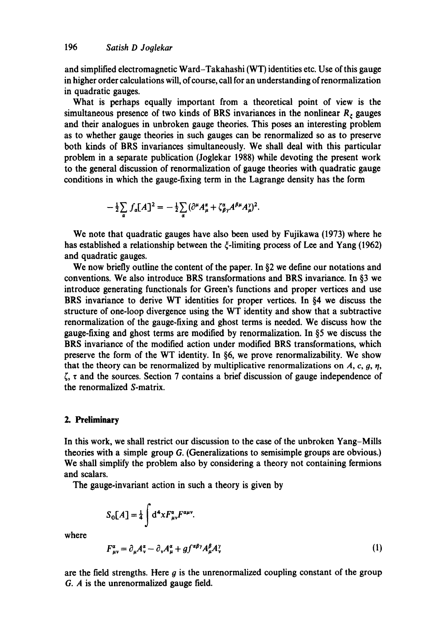and simplified electromagnetic Ward-Takahashi (WT) identities etc. Use of this gauge in higher order calculations will, of course, call for an understanding of renormalization in quadratic gauges.

What is perhaps equally important from a theoretical point of view is the simultaneous presence of two kinds of BRS invariances in the nonlinear  $R<sub>r</sub>$  gauges and their analogues in unbroken gauge theories. This poses an interesting problem as to whether gauge theories in such gauges can be renormalized so as to preserve both kinds of BRS invariances simultaneously. We shall deal with this particular problem in a separate publication (Joglekar 1988) while devoting the present work to the general discussion of renormalization of gauge theories with quadratic gauge conditions in which the gauge-fixing term in the Lagrange density has the form

$$
-\frac{1}{2}\sum_{\alpha}f_{\alpha}[A]^{2}=-\frac{1}{2}\sum_{\alpha}(\partial^{\mu}A_{\mu}^{\alpha}+\zeta_{\beta\gamma}^{\alpha}A^{\beta\mu}A_{\mu}^{\gamma})^{2}.
$$

We note that quadratic gauges have also been used by Fujikawa (1973) where he has established a relationship between the  $\zeta$ -limiting process of Lee and Yang (1962) and quadratic gauges.

We now briefly outline the content of the paper. In  $\S2$  we define our notations and conventions. We also introduce BRS transformations and BRS invariance. In  $\S$ 3 we introduce generating functionals for Green's functions and proper vertices and use BRS invariance to derive WT identities for proper vertices. In  $§4$  we discuss the structure of one-loop divergence using the WT identity and show that a subtractive renormalization of the gauge-fixing and ghost terms is needed. We discuss how the gauge-fixing and ghost terms are modified by renormalization. In  $\S$ 5 we discuss the BRS invariance of the modified action under modified BRS transformations, which preserve the form of the WT identity. In  $\S6$ , we prove renormalizability. We show that the theory can be renormalized by multiplicative renormalizations on  $A$ , c, g,  $\eta$ ,  $\zeta$ ,  $\tau$  and the sources. Section 7 contains a brief discussion of gauge independence of the renormalized S-matrix.

# **2. Preliminary**

In this work, we shall restrict our discussion to the case of the unbroken Yang-Mills theories with a simple group G. (Generalizations to semisimple groups are obvious.) We shall simplify the problem also by considering a theory not containing fermions and scalars.

The gauge-invariant action in such a theory is given by

$$
S_0[A] = \frac{1}{4} \int d^4x F^{\alpha}_{\mu\nu} F^{\alpha\mu\nu}
$$

where

$$
F_{\mu\nu}^{\alpha} = \partial_{\mu}A_{\nu}^{\alpha} - \partial_{\nu}A_{\mu}^{\alpha} + gf^{\alpha\beta\gamma}A_{\mu}^{\beta}A_{\nu}^{\gamma}
$$
 (1)

are the field strengths. Here  $g$  is the unrenormalized coupling constant of the group G. A is the unrenormalized gauge field.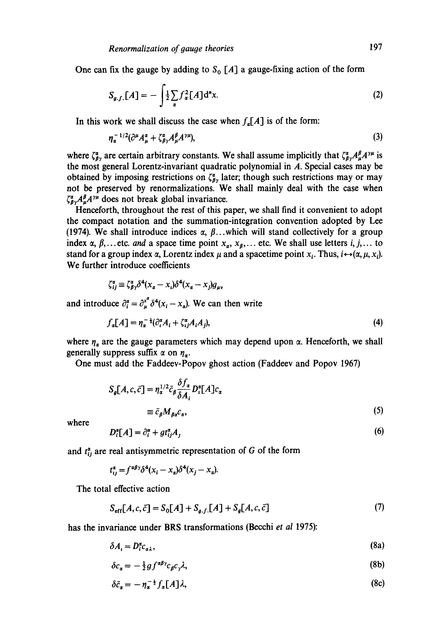One can fix the gauge by adding to  $S_0$  [A] a gauge-fixing action of the form

$$
S_{g.f.}[A] = -\int \frac{1}{2} \sum_{\alpha} f_{\alpha}^2 [A] d^n x. \tag{2}
$$

In this work we shall discuss the case when  $f_n[A]$  is of the form:

$$
\eta_a^{-1/2} (\partial^\mu A_\mu^a + \zeta_{\beta\gamma}^a A_\mu^\beta A^{\gamma\mu}), \tag{3}
$$

where  $\zeta_{\beta y}^{\alpha}$  are certain arbitrary constants. We shall assume implicitly that  $\zeta_{\beta y}^{\alpha}A_{\mu}^{\beta}A^{\gamma\mu}$  is the most general Lorentz-invariant quadratic polynomial in A. Special cases may be obtained by imposing restrictions on  $\zeta_{\beta\gamma}^a$  later; though such restrictions may or may not be preserved by renormalizations. We shall mainly deal with the case when  $\zeta_{\beta}^{\alpha}A_{\mu}^{\beta}A^{\gamma\mu}$  does not break global invariance.

Henceforth, throughout the rest of this paper, we shall find it convenient to adopt the compact notation and the summation-integration convention adopted by Lee (1974). We shall introduce indices  $\alpha$ ,  $\beta$ ...which will stand collectively for a group index  $\alpha, \beta, \ldots$  etc. *and* a space time point  $x_{\alpha}, x_{\beta}, \ldots$  etc. We shall use letters i, j,... to stand for a group index  $\alpha$ , Lorentz index  $\mu$  and a spacetime point  $x_i$ . Thus,  $i \leftrightarrow (\alpha, \mu, x_i)$ . We further introduce coefficients

$$
\zeta_{ij}^{\alpha} \equiv \zeta_{\beta\gamma}^{\alpha} \delta^{4} (x_{\alpha} - x_{i}) \delta^{4} (x_{\alpha} - x_{j}) g_{\mu},
$$

and introduce  $\partial_i^{\alpha} = \partial_{\mu}^{x^{\alpha}} \delta^4(x_i - x_{\alpha})$ . We can then write

$$
f_a[A] = \eta_a^{-1}(\partial_i^{\alpha} A_i + \zeta_{ij}^{\alpha} A_i A_j),\tag{4}
$$

where  $\eta_a$  are the gauge parameters which may depend upon  $\alpha$ . Henceforth, we shall generally suppress suffix  $\alpha$  on  $\eta_{\alpha}$ .

One must add the Faddeev-Popov ghost action (Faddeev and Popov 1967)

$$
S_{g}[A, c, \bar{c}] = \eta_{\alpha}^{1/2} \bar{c}_{\beta} \frac{\delta f_{\alpha}}{\delta A_{i}} D_{i}^{\alpha}[A] c_{\alpha}
$$
  

$$
\equiv \bar{c}_{\beta} M_{\beta \alpha} c_{\alpha}, \qquad (5)
$$

where

$$
D_i^{\alpha}[A] = \partial_i^{\alpha} + gt_{ij}^{\alpha}A_j \tag{6}
$$

and  $t_{ij}^{\alpha}$  are real antisymmetric representation of G of the form

$$
t_{ij}^{\alpha} = f^{\alpha\beta\gamma}\delta^4(x_i - x_a)\delta^4(x_j - x_a).
$$

The total effective action

$$
S_{\text{eff}}[A, c, \bar{c}] = S_0[A] + S_{g,f}[A] + S_g[A, c, \bar{c}] \tag{7}
$$

has the invariance under BRS transformations (Becchi *et al* 1975):

$$
\delta A_i = D_i^{\alpha} c_{\alpha \lambda},\tag{8a}
$$

$$
\delta c_{\alpha} = -\frac{1}{2} g f^{\alpha\beta\gamma} c_{\beta} c_{\gamma} \lambda,\tag{8b}
$$

$$
\delta \bar{c}_\alpha = -\eta_\alpha^{-\frac{1}{2}} f_\alpha[A] \lambda,\tag{8c}
$$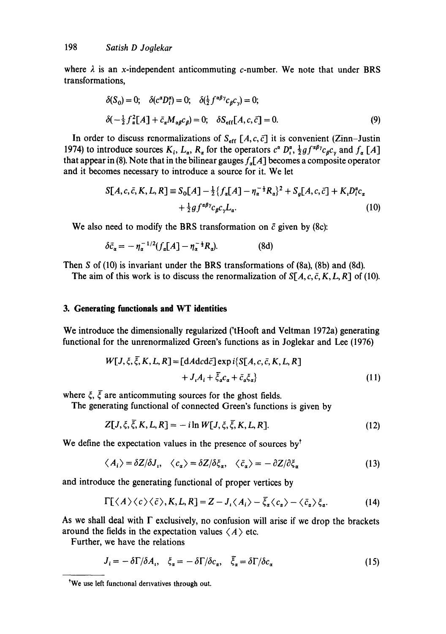where  $\lambda$  is an x-independent anticommuting c-number. We note that under BRS transformations,

$$
\delta(S_0) = 0; \quad \delta(c^a D_i^a) = 0; \quad \delta(\frac{1}{2} f^{a\beta \gamma} c_\beta c_\gamma) = 0;
$$
  

$$
\delta(-\frac{1}{2} f^2_a [A] + \bar{c}_a M_{\alpha\beta} c_\beta) = 0; \quad \delta S_{\text{eff}} [A, c, \bar{c}] = 0.
$$
 (9)

In order to discuss renormalizations of  $S_{\text{eff}}[A, c, \bar{c}]$  it is convenient (Zinn-Justin 1974) to introduce sources  $K_i$ ,  $L_{\alpha}$ ,  $R_{\alpha}$  for the operators  $c^{\alpha} D_i^{\alpha}$ ,  $\frac{1}{2} g f^{\alpha\beta\gamma} c_{\beta} c_{\gamma}$  and  $f_{\alpha}$  [A] that appear in (8). Note that in the bilinear gauges  $f_a[A]$  becomes a composite operator and it becomes necessary to introduce a source for it. We let

$$
S[A, c, \bar{c}, K, L, R] \equiv S_0[A] - \frac{1}{2} \{ f_a[A] - \eta_a^{-\frac{1}{2}} R_a \}^2 + S_g[A, c, \bar{c}] + K_i D_i^a c_a
$$
  
+ 
$$
\frac{1}{2} g f^{a\beta\gamma} c_{\beta} c_{\gamma} L_a.
$$
 (10)

We also need to modify the BRS transformation on  $\bar{c}$  given by (8c):

$$
\delta \bar{c}_{\alpha} = -\eta_{\alpha}^{-1/2} (f_{\alpha}[A] - \eta_{\alpha}^{-\frac{1}{2}} R_{\alpha}). \tag{8d}
$$

Then S of (10) is invariant under the BRS transformations of (8a), (8b) and (8d).

The aim of this work is to discuss the renormalization of  $S[A, c, \bar{c}, K, L, R]$  of (10).

### **3. Generating functionals and WT identities**

We introduce the dimensionally regularized ('tHooft and Veltman 1972a) generating functional for the unrenormalized Green's functions as in Joglekar and Lee (1976)

$$
W[J, \xi, \overline{\xi}, K, L, R] = [dA d c d \overline{c}] \exp i \{ S[A, c, \overline{c}, K, L, R] + J_{\iota} A_{\iota} + \overline{\xi}_{\alpha} c_{\alpha} + \overline{c}_{\alpha} \xi_{\alpha} \}
$$
(11)

where  $\zeta$ ,  $\overline{\zeta}$  are anticommuting sources for the ghost fields.

The generating functional of connected Green's functions is given by

$$
Z[J,\xi,\xi,K,L,R] = -i\ln W[J,\xi,\bar{\xi},K,L,R].
$$
\n(12)

We define the expectation values in the presence of sources by  $t$ 

$$
\langle A_i \rangle = \delta Z / \delta J_i, \quad \langle c_\alpha \rangle = \delta Z / \delta \xi_\alpha, \quad \langle \bar{c}_\alpha \rangle = -\partial Z / \partial \xi_\alpha \tag{13}
$$

and introduce the generating functional of proper vertices by

$$
\Gamma[\langle A\rangle\langle c\rangle\langle\bar{c}\rangle, K, L, R] = Z - J_{\iota}\langle A_{\iota}\rangle - \bar{\xi}_{\alpha}\langle c_{\alpha}\rangle - \langle \bar{c}_{\alpha}\rangle \xi_{\alpha}.
$$
 (14)

As we shall deal with  $\Gamma$  exclusively, no confusion will arise if we drop the brackets around the fields in the expectation values  $\langle A \rangle$  etc.

Further, we have the relations

$$
J_i = -\delta \Gamma / \delta A_i, \quad \xi_a = -\delta \Gamma / \delta c_a, \quad \bar{\xi}_a = \delta \Gamma / \delta c_a \tag{15}
$$

<sup>&</sup>lt;sup>\*</sup>We use left functional derivatives through out.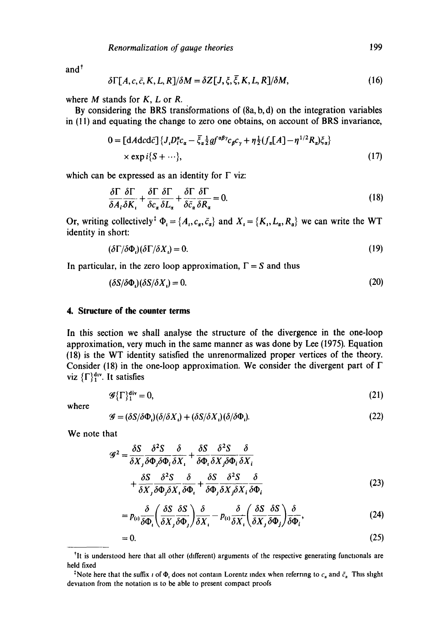$and<sup>†</sup>$ 

$$
\delta\Gamma[A,c,\bar{c},K,L,R]/\delta M = \delta Z[J,\xi,\bar{\xi},K,L,R]/\delta M, \qquad (16)
$$

where  $M$  stands for  $K$ ,  $L$  or  $R$ .

By considering the BRS transformations of (8a, b, d) on the integration variables in (11) and equating the change to zero one obtains, on account of BRS invariance,

 $\mathbf{r}$ 

 $\equiv$   $\pm$ 

$$
0 = [dA d c d \bar{c}] \{ J_{\iota} D_{i}^{\alpha} c_{\alpha} - \bar{\xi}_{\alpha} \frac{1}{2} g f^{\alpha \beta \gamma} c_{\beta} c_{\gamma} + \eta \frac{1}{2} (f_{\alpha} [A] - \eta^{1/2} R_{\alpha}) \xi_{\alpha} \}
$$
  
× exp i{S + ...}, (17)

which can be expressed as an identity for  $\Gamma$  viz:

$$
\frac{\delta \Gamma}{\delta A_i \delta K_i} + \frac{\delta \Gamma}{\delta c_\alpha} \frac{\delta \Gamma}{\delta L_\alpha} + \frac{\delta \Gamma}{\delta \bar{c}_\alpha} \frac{\delta \Gamma}{\delta R_\alpha} = 0.
$$
\n(18)

Or, writing collectively<sup>†</sup>  $\Phi_i = \{A_i, c_i, \bar{c}_i\}$  and  $X_i = \{K_i, L_i, R_i\}$  we can write the WT identity in short:

$$
(\delta \Gamma / \delta \Phi_i)(\delta \Gamma / \delta X_i) = 0. \tag{19}
$$

In particular, in the zero loop approximation,  $\Gamma = S$  and thus

$$
(\delta S/\delta \Phi_i)(\delta S/\delta X_i) = 0. \tag{20}
$$

## **4. Structure of the counter terms**

In this section we shall analyse the structure of the divergence in the one-loop approximation, very much in the same manner as was done by Lee (1975). Equation (18) is the WT identity satisfied the unrenormalized proper vertices of the theory. Consider (18) in the one-loop approximation. We consider the divergent part of  $\Gamma$ viz  $\{\Gamma\}^{\text{div}}_1$ . It satisfies

$$
\mathscr{G}\{\Gamma\}_{1}^{\mathbf{div}}=0,\tag{21}
$$

where

$$
\mathcal{G} = (\delta S/\delta \Phi_i)(\delta/\delta X_i) + (\delta S/\delta X_i)(\delta/\delta \Phi_i). \tag{22}
$$

We note that

$$
\mathcal{G}^{2} = \frac{\delta S}{\delta X_{j}} \frac{\delta^{2} S}{\delta \Phi_{j} \delta \Phi_{i}} \frac{\delta}{\delta X_{i}} + \frac{\delta S}{\delta \Phi_{i}} \frac{\delta^{2} S}{\delta X_{j} \delta \Phi_{i}} \frac{\delta}{\delta X_{i}} + \frac{\delta S}{\delta X_{j}} \frac{\delta^{2} S}{\delta \Phi_{j} \delta X_{i}} \frac{\delta}{\delta \Phi_{i}} + \frac{\delta S}{\delta \Phi_{j}} \frac{\delta^{2} S}{\delta X_{j} \delta X_{i}} \frac{\delta}{\delta \Phi_{i}} \tag{23}
$$

$$
=p_{(i)}\frac{\delta}{\delta\Phi_i}\left(\frac{\delta S}{\delta X_j}\frac{\delta S}{\delta\Phi_j}\right)\frac{\delta}{\delta X_i}-p_{(i)}\frac{\delta}{\delta X_i}\left(\frac{\delta S}{\delta X_j}\frac{\delta S}{\delta\Phi_j}\right)\frac{\delta}{\delta\Phi_i},\qquad(24)
$$

$$
=0.\t(25)
$$

<sup>&</sup>lt;sup>†</sup>It is understood here that all other (different) arguments of the respective generating functionals are held fixed

<sup>&</sup>lt;sup>t</sup>Note here that the suffix i of  $\Phi_i$  does not contain Lorentz index when referring to  $c_a$  and  $\bar{c}_a$ . This slight deviation from the notation is to be able to present compact proofs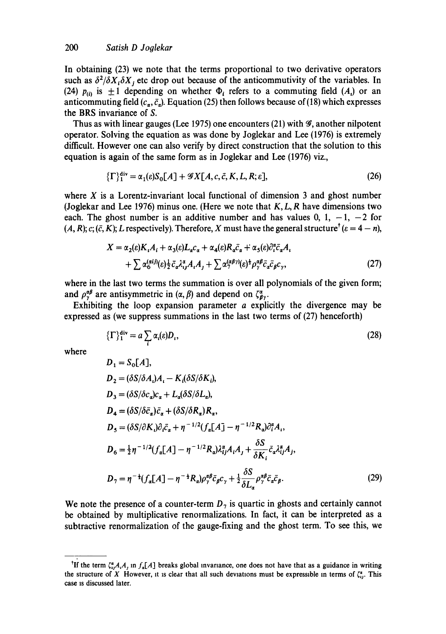In obtaining (23) we note that the terms proportional to two derivative operators such as  $\delta^2/\delta X_i \delta X_j$  etc drop out because of the anticommutivity of the variables. In (24)  $p_{(0)}$  is  $\pm 1$  depending on whether  $\Phi_i$  refers to a commuting field (A<sub>i</sub>) or an anticommuting field  $(c_n, \bar{c}_n)$ . Equation (25) then follows because of (18) which expresses the BRS invariance of S.

Thus as with linear gauges (Lee 1975) one encounters (21) with  $\mathcal{G}$ , another nilpotent operator. Solving the equation as was done by Joglekar and Lee (1976) is extremely difficult. However one can also verify by direct construction that the solution to this equation is again of the same form as in Joglekar and Lee (1976) viz.,

$$
\{\Gamma\}_{1}^{\text{div}} = \alpha_{1}(\varepsilon)S_{0}[A] + \mathcal{G}X[A, c, \bar{c}, K, L, R; \varepsilon],\tag{26}
$$

where  $X$  is a Lorentz-invariant local functional of dimension 3 and ghost number (Joglekar and Lee 1976) minus one. (Here we note that  $K, L, R$  have dimensions two each. The ghost number is an additive number and has values 0, 1,  $-1$ ,  $-2$  for  $(A, R)$ ; c;  $(\bar{c}, K)$ ; L respectively). Therefore, X must have the general structure<sup>†</sup>  $(\epsilon = 4 - n)$ ,

$$
X = \alpha_2(\varepsilon) K_1 A_i + \alpha_3(\varepsilon) L_a c_a + \alpha_4(\varepsilon) R_a \bar{c}_a + \alpha_5(\varepsilon) \partial_i^{\alpha} \bar{c}_a A_i
$$
  
+ 
$$
\sum \alpha_6^{(\alpha i j)}(\varepsilon) \frac{1}{2} \bar{c}_a \lambda_{ij}^{\alpha} A_i A_j + \sum \alpha_7^{(\alpha \beta \gamma)}(\varepsilon) \frac{1}{2} \rho_{\gamma}^{\alpha \beta} \bar{c}_a \bar{c}_\beta c_\gamma,
$$
 (27)

where in the last two terms the summation is over all polynomials of the given form; and  $\rho_{v}^{\alpha\beta}$  are antisymmetric in  $(\alpha, \beta)$  and depend on  $\zeta_{\beta v}^{\alpha}$ .

Exhibiting the loop expansion parameter  $a$  explicitly the divergence may be expressed as (we suppress summations in the last two terms of (27) henceforth)

$$
\{\Gamma\}_{1}^{\text{div}} = a \sum_{i} \alpha_{i}(\varepsilon) D_{i},\tag{28}
$$

where

$$
D_1 = S_0[A],
$$
  
\n
$$
D_2 = (\delta S/\delta A_i)A_i - K_i(\delta S/\delta K_i),
$$
  
\n
$$
D_3 = (\delta S/\delta c_a)c_a + L_a(\delta S/\delta L_a),
$$
  
\n
$$
D_4 = (\delta S/\delta \bar{c}_a)\bar{c}_a + (\delta S/\delta R_a)R_a,
$$
  
\n
$$
D_5 = (\delta S/\partial K_i)\partial_i\bar{c}_a + \eta^{-1/2}(f_a[A] - \eta^{-1/2}R_a)\partial_i^a A_i,
$$
  
\n
$$
D_6 = \frac{1}{2}\eta^{-1/2}(f_a[A] - \eta^{-1/2}R_a)\lambda_{ij}^a A_i A_j + \frac{\delta S}{\delta K_i}\bar{c}_a \lambda_{ij}^a A_j,
$$
  
\n
$$
D_7 = \eta^{-\frac{1}{2}}(f_a[A] - \eta^{-\frac{1}{2}}R_a)\rho_{\gamma}^{a\beta}\bar{c}_\beta c_\gamma + \frac{1}{2}\frac{\delta S}{\delta L_a}\rho_{\gamma}^{a\beta}\bar{c}_a\bar{c}_\beta.
$$
\n(29)

We note the presence of a counter-term  $D_7$  is quartic in ghosts and certainly cannot be obtained by multiplicative renormalizations. In fact, it can be interpreted as a subtractive renormalization of the gauge-fixing and the ghost term. To see this, we

<sup>&</sup>lt;sup>†</sup>If the term  $\zeta_{p}^{*}A_{i}A_{j}$ , in  $f_{p}[A]$  breaks global invariance, one does not have that as a guidance in writing the structure of X However, it is clear that all such deviations must be expressible in terms of  $\zeta_{ij}^n$ . This case is discussed later.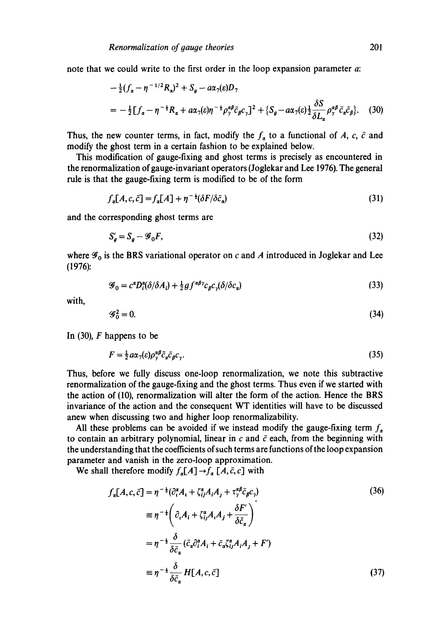note that we could write to the first order in the loop expansion parameter a:

$$
-\frac{1}{2}(f_{\alpha}-\eta^{-1/2}R_{\alpha})^2+S_{g}-a\alpha_{7}(\varepsilon)D_{7}
$$
  
=
$$
-\frac{1}{2}[f_{\alpha}-\eta^{-1}R_{\alpha}+a\alpha_{7}(\varepsilon)\eta^{-1}\rho_{\gamma}^{\alpha\beta}\bar{c}_{\beta}c_{\gamma}]^2+\{S_{g}-a\alpha_{7}(\varepsilon)\frac{1}{2}\frac{\delta S}{\delta L_{\alpha}}\rho_{\gamma}^{\alpha\beta}\bar{c}_{\alpha}\bar{c}_{\beta}\}.
$$
 (30)

Thus, the new counter terms, in fact, modify the  $f_a$  to a functional of A, c,  $\bar{c}$  and modify the ghost term in a certain fashion to be explained below.

This modification of gauge-fixing and ghost terms is precisely as encountered in the renormalization of gauge-invariant operators (Joglekar and Lee 1976). The general rule is that the gauge-fixing term is modified to be of the form

$$
f_a[A, c, \bar{c}] = f_a[A] + \eta^{-\frac{1}{2}}(\delta F/\delta \bar{c}_a)
$$
\n(31)

and the corresponding ghost terms are

$$
S_g' = S_g - \mathcal{G}_0 F,\tag{32}
$$

where  $\mathscr{G}_0$  is the BRS variational operator on c and A introduced in Joglekar and Lee (1976):

$$
\mathcal{G}_0 = c^{\alpha} D_i^{\alpha} (\delta / \delta A_i) + \frac{1}{2} g f^{\alpha \beta \gamma} c_{\beta} c_{\gamma} (\delta / \delta c_{\alpha})
$$
\n(33)

with,

$$
\mathscr{G}_0^2 = 0. \tag{34}
$$

In  $(30)$ , F happens to be

$$
F = \frac{1}{2}a\alpha_7(\varepsilon)\rho_\gamma^{\alpha\beta}\bar{c}_\alpha\bar{c}_\beta c_\gamma. \tag{35}
$$

Thus, before we fully discuss one-loop renormalization, we note this subtractive renormalization of the gauge-fixing and the ghost terms. Thus even if we started with the action of (10), renormalization will alter the form of the action. Hence the BRS invariance of the action and the consequent WT identities will have to be discussed anew when discussing two and higher loop renormalizability.

All these problems can be avoided if we instead modify the gauge-fixing term  $f_{\alpha}$ to contain an arbitrary polynomial, linear in  $c$  and  $\bar{c}$  each, from the beginning with the understanding that the coefficients of such terms are functions of the loop expansion parameter and vanish in the zero-loop approximation.

We shall therefore modify  $f_{\alpha}[A] \rightarrow f_{\alpha}[A, \bar{c}, c]$  with

$$
f_{\alpha}[A, c, \bar{c}] = \eta^{-\frac{1}{2}} (\partial_{i}^{*} A_{i} + \zeta_{ij}^{*} A_{i} A_{j} + \tau_{\gamma}^{*} \bar{c}_{\bar{\beta}} c_{\gamma})
$$
\n
$$
\equiv \eta^{-\frac{1}{2}} \left( \partial_{i} A_{i} + \zeta_{ij}^{*} A_{i} A_{j} + \frac{\delta F'}{\delta \bar{c}_{\alpha}} \right)
$$
\n
$$
= \eta^{-\frac{1}{2}} \frac{\delta}{\delta \bar{c}_{\alpha}} (\bar{c}_{\alpha} \partial_{i}^{*} A_{i} + \bar{c}_{\alpha} \zeta_{ij}^{*} A_{i} A_{j} + F')
$$
\n
$$
\equiv \eta^{-\frac{1}{2}} \frac{\delta}{\delta \bar{c}_{\alpha}} H[A, c, \bar{c}]
$$
\n(37)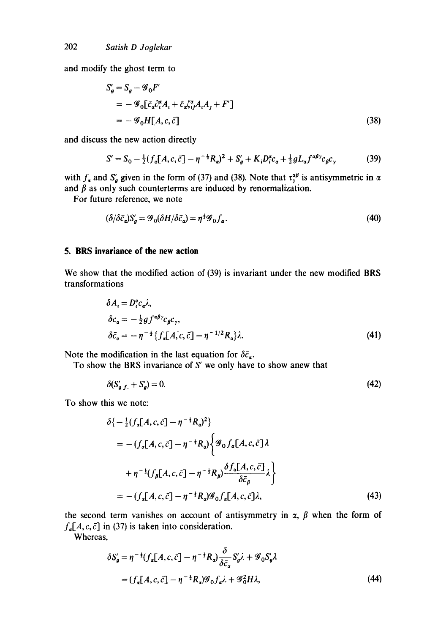and modify the ghost term to

$$
S'_{g} = S_{g} - \mathcal{G}_{0}F'
$$
  
=  $-\mathcal{G}_{0}[\bar{c}_{a}\partial_{i}^{\alpha}A_{i} + \bar{c}_{a}\zeta_{ij}^{\alpha}A_{i}A_{j} + F']$   
=  $-\mathcal{G}_{0}H[A, c, \bar{c}]$  (38)

and discuss the new action directly

$$
S' = S_0 - \frac{1}{2} (f_a[A, c, \bar{c}] - \eta^{-\frac{1}{2}} R_a)^2 + S'_g + K_i D_i^a c_a + \frac{1}{2} g L_a f^{a\beta \gamma} c_\beta c_\gamma
$$
(39)

with  $f_a$  and  $S'_a$  given in the form of (37) and (38). Note that  $\tau_\gamma^{ap}$  is antisymmetric in and  $\beta$  as only such counterterms are induced by renormalization.

For future reference, we note

$$
(\delta/\delta\bar{c}_a)S'_g = \mathcal{G}_0(\delta H/\delta\bar{c}_a) = \eta^{\frac{1}{2}}\mathcal{G}_0f_a.
$$
\n<sup>(40)</sup>

### **5. BRS invariance of the new action**

We show that the modified action of (39) is invariant under the new modified BRS transformations

$$
\delta A_{i} = D_{i}^{a} c_{\alpha} \lambda,
$$
  
\n
$$
\delta c_{\alpha} = -\frac{1}{2} g f^{\alpha \beta \gamma} c_{\beta} c_{\gamma},
$$
  
\n
$$
\delta \bar{c}_{\alpha} = -\eta^{-\frac{1}{2}} \{ f_{\alpha} [A, c, \bar{c}] - \eta^{-1/2} R_{\alpha} \} \lambda.
$$
\n(41)

Note the modification in the last equation for  $\delta \bar{c}_{\alpha}$ .

To show the BRS invariance of  $S'$  we only have to show anew that

$$
\delta(S'_{a,f.} + S'_{a}) = 0. \tag{42}
$$

To show this we note:

$$
\delta \{-\frac{1}{2}(f_a[A,c,\bar{c}] - \eta^{-\frac{1}{2}}R_a)^2\}
$$
\n
$$
= -(f_a[A,c,\bar{c}] - \eta^{-\frac{1}{2}}R_a) \Big\{ \mathcal{G}_0 f_a[A,c,\bar{c}] \lambda + \eta^{-\frac{1}{2}}(f_\beta[A,c,\bar{c}] - \eta^{-\frac{1}{2}}R_\beta) \frac{\delta f_a[A,c,\bar{c}]}{\delta \bar{c}_\beta} \lambda \Big\}
$$
\n
$$
= -(f_a[A,c,\bar{c}] - \eta^{-\frac{1}{2}}R_a) \mathcal{G}_0 f_a[A,c,\bar{c}] \lambda, \tag{43}
$$

the second term vanishes on account of antisymmetry in  $\alpha$ ,  $\beta$  when the form of  $f_a[A, c, \bar{c}]$  in (37) is taken into consideration.

Whereas,

$$
\delta S_g' = \eta^{-\frac{1}{2}} (f_a[A, c, \bar{c}] - \eta^{-\frac{1}{2}} R_a) \frac{\delta}{\delta \bar{c}_a} S_g' \lambda + \mathcal{G}_0 S_g' \lambda
$$
  
=  $(f_a[A, c, \bar{c}] - \eta^{-\frac{1}{2}} R_a) \mathcal{G}_0 f_a \lambda + \mathcal{G}_0^2 H \lambda,$  (44)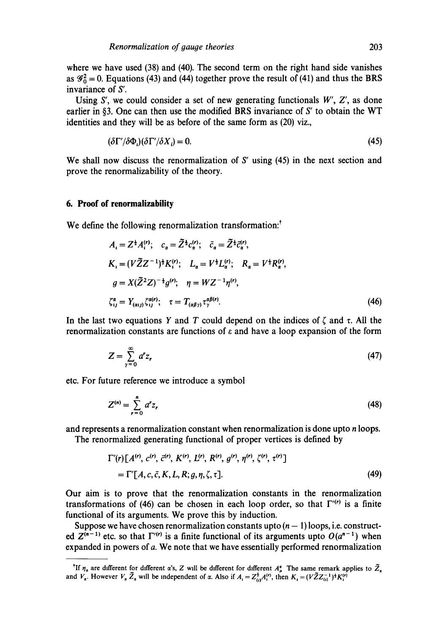where we have used (38) and (40). The second term on the right hand side vanishes as  $\mathscr{G}_0^2 = 0$ . Equations (43) and (44) together prove the result of (41) and thus the BRS invariance of S'.

Using S', we could consider a set of new generating functionals  $W'$ ,  $Z'$ , as done earlier in §3. One can then use the modified BRS invariance of  $S'$  to obtain the WT identities and they will be as before of the same form as (20) viz.,

$$
(\delta \Gamma'/\delta \Phi_i)(\delta \Gamma'/\delta X_i) = 0. \tag{45}
$$

We shall now discuss the renormalization of S' using  $(45)$  in the next section and prove the renormalizability of the theory.

### **6. Proof of renormalizability**

We define the following renormalization transformation:<sup>†</sup>

$$
A_{i} = Z^{\frac{1}{2}} A_{i}^{(r)}; \quad c_{\alpha} = \tilde{Z}^{\frac{1}{2}} c_{\alpha}^{(r)}; \quad \bar{c}_{\alpha} = \tilde{Z}^{\frac{1}{2}} \bar{c}_{\alpha}^{(r)},
$$
  
\n
$$
K_{i} = (V \tilde{Z} Z^{-1})^{\frac{1}{2}} K_{i}^{(r)}; \quad L_{\alpha} = V^{\frac{1}{2}} L_{\alpha}^{(r)}; \quad R_{\alpha} = V^{\frac{1}{2}} R_{\alpha}^{(r)},
$$
  
\n
$$
g = X(\tilde{Z}^{2} Z)^{-\frac{1}{2}} g^{(r)}; \quad \eta = W Z^{-1} \eta^{(r)},
$$
  
\n
$$
\zeta_{ij}^{\alpha} = Y_{(\alpha i j)} \zeta_{ij}^{\alpha(r)}; \quad \tau = T_{(\alpha \beta \gamma)} \tau_{\gamma}^{\alpha \beta(r)}.
$$
  
\n(46)

In the last two equations Y and T could depend on the indices of  $\zeta$  and  $\tau$ . All the renormalization constants are functions of  $\varepsilon$  and have a loop expansion of the form

$$
Z = \sum_{\gamma=0}^{\infty} a^r z_r \tag{47}
$$

etc. For future reference we introduce a symbol

$$
Z^{(n)} = \sum_{r=0}^{n} a^r z_r
$$
 (48)

and represents a renormalization constant when renormalization is done upto *n* loops.

The renormalized generating functional of proper vertices is defined by

$$
\Gamma'(r)[A^{(r)}, c^{(r)}, \bar{c}^{(r)}, K^{(r)}, L^{(r)}, R^{(r)}, g^{(r)}, \eta^{(r)}, \zeta^{(r)}, \tau^{(r)}]
$$
  
=  $\Gamma'[A, c, \bar{c}, K, L, R; g, \eta, \zeta, \tau].$  (49)

Our aim is to prove that the renormalization constants in the renormalization transformations of (46) can be chosen in each loop order, so that  $\Gamma''$  is a finite functional of its arguments. We prove this by induction.

Suppose we have chosen renormalization constants upto  $(n - 1)$  loops, i.e. constructed  $Z^{(n-1)}$  etc. so that  $\Gamma^{(r)}$  is a finite functional of its arguments upto  $O(a^{n-1})$  when expanded in powers of a. We note that we have essentially performed renormalization

If  $\eta_a$  are different for different  $\alpha$ 's, Z will be different for different  $A^a_a$ . The same remark applies to Z, and  $V_a$ . However  $V_a Z_a$  will be independent of  $\alpha$ . Also if  $A_i = Z_a^T A_i^{(r)}$ , then  $K_i = (VZZ_a^{-1})^2 K_i^{(r)}$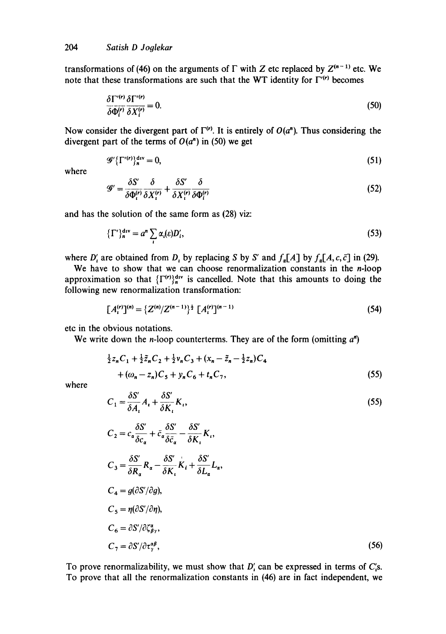transformations of (46) on the arguments of  $\Gamma$  with Z etc replaced by  $Z^{(n-1)}$  etc. We note that these transformations are such that the WT identity for  $\Gamma^{(r)}$  becomes

$$
\frac{\delta \Gamma^{\prime(r)} \delta \Gamma^{\prime(r)}}{\delta \Phi_{i}^{(r)} \delta X_{i}^{(r)}} = 0.
$$
\n(50)

Now consider the divergent part of  $\Gamma^{(r)}$ . It is entirely of  $O(a^n)$ . Thus considering the divergent part of the terms of  $O(a^n)$  in (50) we get

$$
\mathscr{G}'\{\Gamma'^{(r)}\}_{n}^{\mathrm{div}}=0,\tag{51}
$$

where

$$
\mathscr{G}' = \frac{\delta S'}{\delta \Phi_i^{(r)}} \frac{\delta}{\delta X_i^{(r)}} + \frac{\delta S'}{\delta X_i^{(r)}} \frac{\delta}{\delta \Phi_i^{(r)}} \tag{52}
$$

and has the solution of the same form as (28) viz:

$$
\{\Gamma'\}^{div}_{n} = a^{n} \sum_{i} \alpha_{i}(\varepsilon) D'_{i},\tag{53}
$$

where  $D'_i$  are obtained from  $D_i$  by replacing S by S' and  $f_a[A]$  by  $f_a[A, c, \bar{c}]$  in (29).

We have to show that we can choose renormalization constants in the  $n$ -loop approximation so that  $\{\Gamma^{(r)}\}_n^{\text{div}}$  is cancelled. Note that this amounts to doing the following new renormalization transformation:

$$
[A_i^{(r)}]^{(n)} = \{Z^{(n)}/Z^{(n-1)}\}^{\frac{1}{2}} [A_i^{(r)}]^{(n-1)}
$$
\n(54)

etc in the obvious notations.

We write down the *n*-loop counterterms. They are of the form (omitting  $a^n$ )

$$
\frac{1}{2}z_nC_1 + \frac{1}{2}\tilde{z}_nC_2 + \frac{1}{2}\nu_nC_3 + (x_n - \tilde{z}_n - \frac{1}{2}z_n)C_4 + (\omega_n - z_n)C_5 + \nu_nC_6 + t_nC_7,
$$
\n(55)

where

$$
C_1 = \frac{\delta S'}{\delta A_i} A_i + \frac{\delta S'}{\delta K_i} K_i,
$$
\n(55)

$$
C_2 = c_a \frac{\delta S'}{\delta c_a} + \bar{c}_a \frac{\delta S'}{\delta \bar{c}_a} - \frac{\delta S'}{\delta K_i} K_i,
$$
  
\n
$$
C_3 = \frac{\delta S'}{\delta R_a} R_a - \frac{\delta S'}{\delta K_i} K_i + \frac{\delta S'}{\delta L_a} L_a,
$$
  
\n
$$
C_4 = g(\partial S'/\partial g),
$$
  
\n
$$
C_5 = \eta(\partial S'/\partial \eta),
$$
  
\n
$$
C_6 = \partial S'/\partial \zeta_{\beta\gamma}^a,
$$
  
\n
$$
C_7 = \partial S'/\partial \tau_{\gamma}^a,
$$
\n(56)

To prove renormalizability, we must show that  $D'_i$  can be expressed in terms of  $C'_i$ s. To prove that all the renormalization constants in (46) are in fact independent, we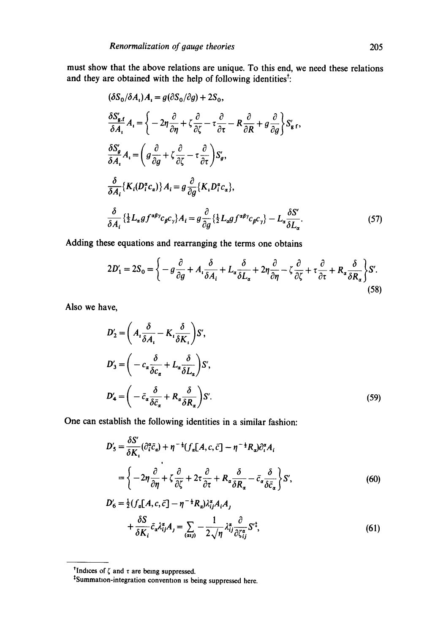must show that the above relations are unique. To this end. we need these relations and they are obtained with the help of following identities<sup>t</sup>:

$$
(\delta S_0/\delta A_i) A_i = g(\partial S_0/\partial g) + 2S_0,
$$
  
\n
$$
\frac{\delta S'_{g,f}}{\delta A_i} A_i = \left\{ -2\eta \frac{\partial}{\partial \eta} + \zeta \frac{\partial}{\partial \zeta} - \tau \frac{\partial}{\partial \tau} - R \frac{\partial}{\partial R} + g \frac{\partial}{\partial g} \right\} S'_{g,f},
$$
  
\n
$$
\frac{\delta S'_{g}}{\delta A_i} A_i = \left( g \frac{\partial}{\partial g} + \zeta \frac{\partial}{\partial \zeta} - \tau \frac{\partial}{\partial \tau} \right) S'_{g},
$$
  
\n
$$
\frac{\delta}{\delta A_i} \{ K_i (D_i^{\alpha} c_{\alpha}) \} A_i = g \frac{\partial}{\partial g} \{ K_i D_i^{\alpha} c_{\alpha} \},
$$
  
\n
$$
\frac{\delta}{\delta A_i} \{ \frac{1}{2} L_{\alpha} g f^{\alpha \beta \gamma} c_{\beta} c_{\gamma} \} A_i = g \frac{\partial}{\partial g} \{ \frac{1}{2} L_{\alpha} g f^{\alpha \beta \gamma} c_{\beta} c_{\gamma} \} - L_{\alpha} \frac{\delta S'}{\delta L_{\alpha}}.
$$
\n(57)

Adding these equations and rearranging the terms one obtains

$$
2D_1' = 2S_0 = \left\{ -g\frac{\partial}{\partial g} + A_i \frac{\partial}{\partial A_i} + L_\alpha \frac{\partial}{\partial L_\alpha} + 2\eta \frac{\partial}{\partial \eta} - \zeta \frac{\partial}{\partial \zeta} + \tau \frac{\partial}{\partial \tau} + R_\alpha \frac{\partial}{\partial R_\alpha} \right\} S'.\tag{58}
$$

Also we have,

$$
D'_{2} = \left(A_{i}\frac{\delta}{\delta A_{i}} - K_{i}\frac{\delta}{\delta K_{i}}\right)S',
$$
  
\n
$$
D'_{3} = \left(-c_{\alpha}\frac{\delta}{\delta c_{\alpha}} + L_{\alpha}\frac{\delta}{\delta L_{\alpha}}\right)S',
$$
  
\n
$$
D'_{4} = \left(-\bar{c}_{\alpha}\frac{\delta}{\delta \bar{c}_{\alpha}} + R_{\alpha}\frac{\delta}{\delta R_{\alpha}}\right)S'.
$$
\n(59)

One can establish the following identities in a similar fashion:

$$
D'_{5} = \frac{\delta S'}{\delta K_{i}} (\partial_{i}^{*} \bar{c}_{a}) + \eta^{-\frac{1}{4}} (f_{\alpha}[A, c, \bar{c}] - \eta^{-\frac{1}{4}} R_{a}) \partial_{i}^{*} A_{i}
$$
  
=  $\left\{-2\eta \frac{\partial}{\partial \eta} + \zeta \frac{\partial}{\partial \zeta} + 2\tau \frac{\partial}{\partial \tau} + R_{\alpha} \frac{\delta}{\delta R_{a}} - \bar{c}_{\alpha} \frac{\delta}{\delta \bar{c}_{\alpha}}\right\} S',$  (60)

$$
D'_6 = \frac{1}{2} (f_a[A, c, \bar{c}] - \eta^{-\frac{1}{2}} R_a) \lambda_{ij}^a A_i A_j
$$
  
+ 
$$
\frac{\delta S}{\delta K_i} \bar{c}_a \lambda_{ij}^a A_j = \sum_{(aij)} -\frac{1}{2\sqrt{\eta}} \lambda_{ij}^a \frac{\partial}{\partial \zeta_{ij}^a} S^{\dagger},
$$
(61)

Indices of  $\zeta$  and  $\tau$  are being suppressed.

<sup>~</sup>Summatlon-integration convenhon is being suppressed here.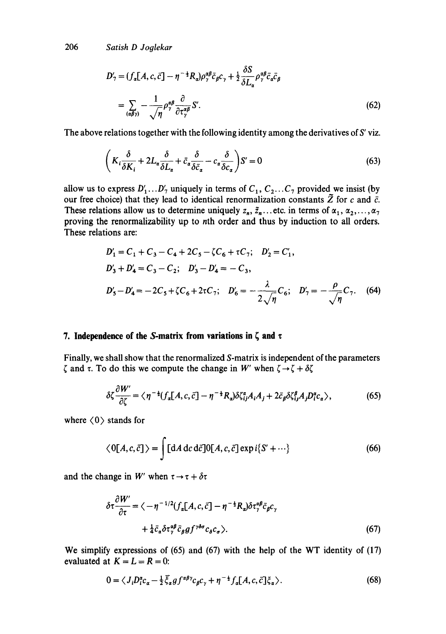$$
D'_{7} = (f_{\alpha}[A, c, \bar{c}] - \eta^{-\frac{1}{2}} R_{\alpha}) \rho_{\gamma}^{\alpha\beta} \bar{c}_{\beta} c_{\gamma} + \frac{1}{2} \frac{\delta S}{\delta L_{\alpha}} \rho_{\gamma}^{\alpha\beta} \bar{c}_{\alpha} \bar{c}_{\beta}
$$
  
= 
$$
\sum_{(\alpha\beta\gamma)} -\frac{1}{\sqrt{\eta}} \rho_{\gamma}^{\alpha\beta} \frac{\partial}{\partial \tau_{\gamma}^{\alpha\beta}} S'.
$$
 (62)

The above relations together with the following identity among the derivatives of  $S'$  viz.

$$
\left(K_i \frac{\delta}{\delta K_i} + 2L_\alpha \frac{\delta}{\delta L_\alpha} + \bar{c}_\alpha \frac{\delta}{\delta \bar{c}_\alpha} - c_\alpha \frac{\delta}{\delta c_\alpha}\right) S' = 0\tag{63}
$$

allow us to express  $D'_1...D'_7$  uniquely in terms of  $C_1, C_2...C_7$  provided we insist (by our free choice) that they lead to identical renormalization constants  $\tilde{Z}$  for c and  $\bar{c}$ . These relations allow us to determine uniquely  $z_n, \tilde{z}_n$ ... etc. in terms of  $\alpha_1, \alpha_2, \ldots, \alpha_7$ proving the renormalizability up to nth order and thus by induction to all orders. These relations are:

$$
D'_1 = C_1 + C_3 - C_4 + 2C_5 - \zeta C_6 + \tau C_7; \quad D'_2 = C'_1,
$$
  
\n
$$
D'_3 + D'_4 = C_3 - C_2; \quad D'_3 - D'_4 = -C_3,
$$
  
\n
$$
D'_5 - D'_4 = -2C_5 + \zeta C_6 + 2\tau C_7; \quad D'_6 = -\frac{\lambda}{2\sqrt{\eta}} C_6; \quad D'_7 = -\frac{\rho}{\sqrt{\eta}} C_7.
$$
 (64)

### 7. Independence of the S-matrix from variations in  $\zeta$  and  $\tau$

Finally, we shall show that the renormalized S-matrix is independent of the parameters  $\zeta$  and  $\tau$ . To do this we compute the change in W' when  $\zeta \rightarrow \zeta + \delta \zeta$ 

$$
\delta \zeta \frac{\partial W'}{\partial \zeta} = \langle \eta^{-\frac{1}{2}} (f_a[A,c,\bar{c}] - \eta^{-\frac{1}{2}} R_a) \delta \zeta_{ij}^a A_i A_j + 2 \bar{c}_{\beta} \delta \zeta_{ij}^{\beta} A_j D_i^a c_a \rangle, \tag{65}
$$

where  $(0)$  stands for

$$
\langle 0[A, c, \bar{c}] \rangle = \int [dA dc d\bar{c}] 0[A, c, \bar{c}] \exp i \{S' + \cdots\}
$$
 (66)

and the change in W' when  $\tau \rightarrow \tau + \delta \tau$ 

$$
\delta \tau \frac{\partial W'}{\partial \tau} = \langle -\eta^{-1/2} (f_a[A, c, \bar{c}] - \eta^{-\frac{1}{2}} R_a) \delta \tau_\gamma^{a\beta} \bar{c}_\beta c_\gamma
$$
  
+  $\frac{1}{4} \bar{c}_a \delta \tau_\gamma^{a\beta} \bar{c}_\beta g f^{\gamma \delta \sigma} c_\delta c_\sigma \rangle.$  (67)

We simplify expressions of (65) and (67) with the help of the WT identity of (17) evaluated at  $K = L = R = 0$ :

$$
0 = \langle J_i D_i^a c_a - \frac{1}{2} \bar{\xi}_a g f^{a\beta \gamma} c_\beta c_\gamma + \eta^{-\frac{1}{2}} f_a [A, c, \bar{c}] \xi_a \rangle. \tag{68}
$$